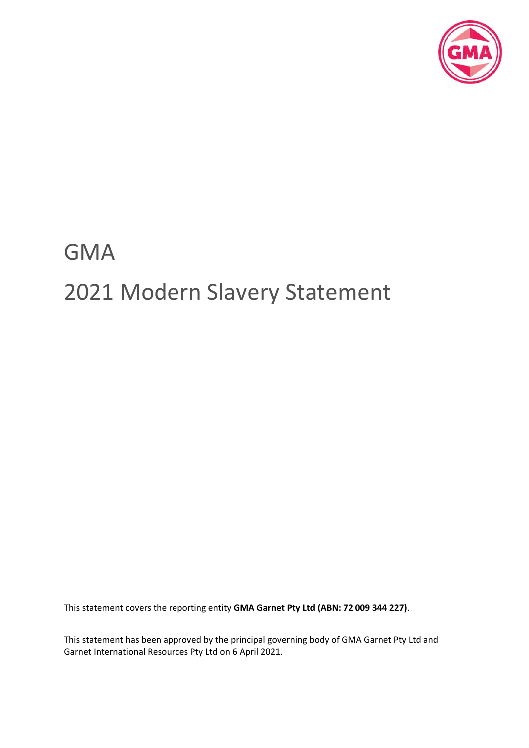

# GMA 2021 Modern Slavery Statement

This statement covers the reporting entity **GMA Garnet Pty Ltd (ABN: 72 009 344 227)**.

This statement has been approved by the principal governing body of GMA Garnet Pty Ltd and Garnet International Resources Pty Ltd on 6 April 2021.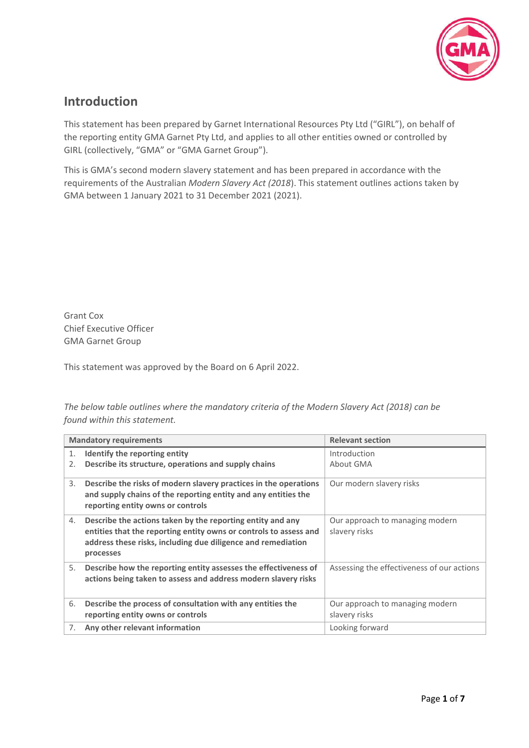

# **Introduction**

This statement has been prepared by Garnet International Resources Pty Ltd ("GIRL"), on behalf of the reporting entity GMA Garnet Pty Ltd, and applies to all other entities owned or controlled by GIRL (collectively, "GMA" or "GMA Garnet Group").

This is GMA's second modern slavery statement and has been prepared in accordance with the requirements of the Australian *Modern Slavery Act (2018*). This statement outlines actions taken by GMA between 1 January 2021 to 31 December 2021 (2021).

Grant Cox Chief Executive Officer GMA Garnet Group

This statement was approved by the Board on 6 April 2022.

*The below table outlines where the mandatory criteria of the Modern Slavery Act (2018) can be found within this statement.*

|          | <b>Mandatory requirements</b>                                                                                                                                                                                | <b>Relevant section</b>                          |
|----------|--------------------------------------------------------------------------------------------------------------------------------------------------------------------------------------------------------------|--------------------------------------------------|
| 1.<br>2. | Identify the reporting entity<br>Describe its structure, operations and supply chains                                                                                                                        | Introduction<br>About GMA                        |
| 3.       | Describe the risks of modern slavery practices in the operations<br>and supply chains of the reporting entity and any entities the<br>reporting entity owns or controls                                      | Our modern slavery risks                         |
| 4.       | Describe the actions taken by the reporting entity and any<br>entities that the reporting entity owns or controls to assess and<br>address these risks, including due diligence and remediation<br>processes | Our approach to managing modern<br>slavery risks |
| 5.       | Describe how the reporting entity assesses the effectiveness of<br>actions being taken to assess and address modern slavery risks                                                                            | Assessing the effectiveness of our actions       |
| 6.       | Describe the process of consultation with any entities the<br>reporting entity owns or controls                                                                                                              | Our approach to managing modern<br>slavery risks |
| 7.       | Any other relevant information                                                                                                                                                                               | Looking forward                                  |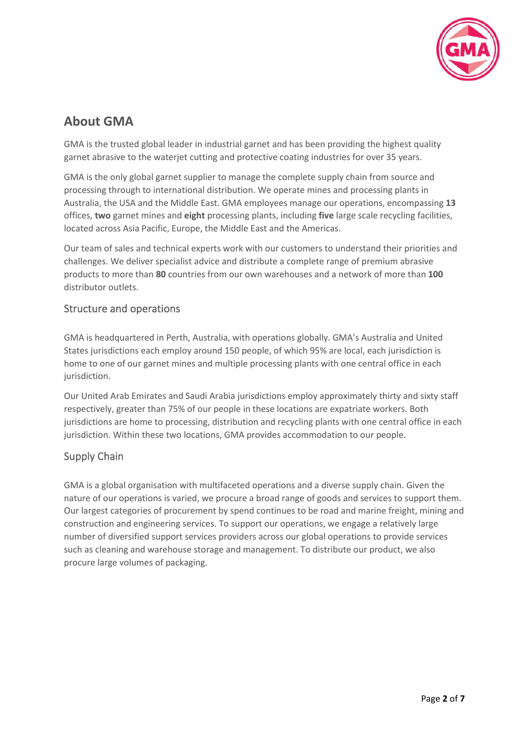

# **About GMA**

GMA is the trusted global leader in industrial garnet and has been providing the highest quality garnet abrasive to the waterjet cutting and protective coating industries for over 35 years.

GMA is the only global garnet supplier to manage the complete supply chain from source and processing through to international distribution. We operate mines and processing plants in Australia, the USA and the Middle East. GMA employees manage our operations, encompassing **13** offices, **two** garnet mines and **eight** processing plants, including **five** large scale recycling facilities, located across Asia Pacific, Europe, the Middle East and the Americas.

Our team of sales and technical experts work with our customers to understand their priorities and challenges. We deliver specialist advice and distribute a complete range of premium abrasive products to more than **80** countries from our own warehouses and a network of more than **100** distributor outlets.

## Structure and operations

GMA is headquartered in Perth, Australia, with operations globally. GMA's Australia and United States jurisdictions each employ around 150 people, of which 95% are local, each jurisdiction is home to one of our garnet mines and multiple processing plants with one central office in each jurisdiction.

Our United Arab Emirates and Saudi Arabia jurisdictions employ approximately thirty and sixty staff respectively, greater than 75% of our people in these locations are expatriate workers. Both jurisdictions are home to processing, distribution and recycling plants with one central office in each jurisdiction. Within these two locations, GMA provides accommodation to our people.

## Supply Chain

GMA is a global organisation with multifaceted operations and a diverse supply chain. Given the nature of our operations is varied, we procure a broad range of goods and services to support them. Our largest categories of procurement by spend continues to be road and marine freight, mining and construction and engineering services. To support our operations, we engage a relatively large number of diversified support services providers across our global operations to provide services such as cleaning and warehouse storage and management. To distribute our product, we also procure large volumes of packaging.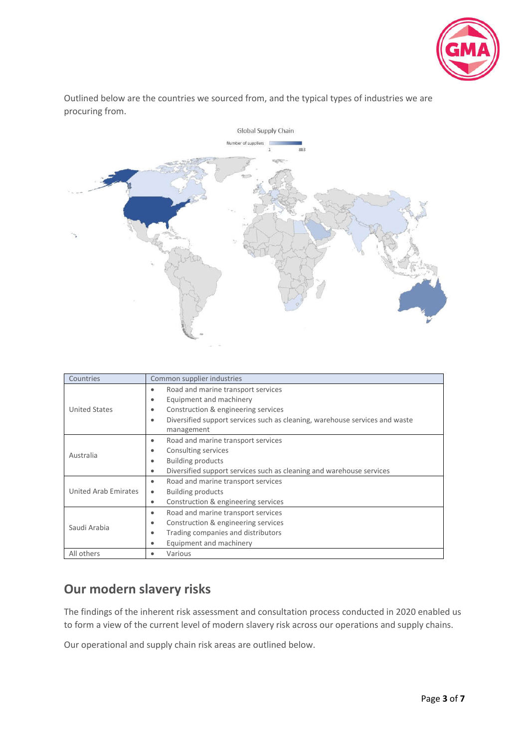

Outlined below are the countries we sourced from, and the typical types of industries we are procuring from.



| Countries            | Common supplier industries                                                               |  |  |  |
|----------------------|------------------------------------------------------------------------------------------|--|--|--|
|                      | Road and marine transport services<br>$\bullet$                                          |  |  |  |
|                      | Equipment and machinery<br>$\bullet$                                                     |  |  |  |
| <b>United States</b> | Construction & engineering services<br>$\bullet$                                         |  |  |  |
|                      | Diversified support services such as cleaning, warehouse services and waste<br>$\bullet$ |  |  |  |
|                      | management                                                                               |  |  |  |
|                      | Road and marine transport services<br>٠                                                  |  |  |  |
| Australia            | Consulting services<br>$\bullet$                                                         |  |  |  |
|                      | <b>Building products</b><br>$\bullet$                                                    |  |  |  |
|                      | Diversified support services such as cleaning and warehouse services<br>$\bullet$        |  |  |  |
|                      | Road and marine transport services<br>٠                                                  |  |  |  |
| United Arab Emirates | <b>Building products</b><br>٠                                                            |  |  |  |
|                      | Construction & engineering services<br>٠                                                 |  |  |  |
|                      | Road and marine transport services<br>$\bullet$                                          |  |  |  |
| Saudi Arabia         | Construction & engineering services<br>$\bullet$                                         |  |  |  |
|                      | Trading companies and distributors<br>٠                                                  |  |  |  |
|                      | Equipment and machinery<br>٠                                                             |  |  |  |
| All others           | Various<br>٠                                                                             |  |  |  |

# **Our modern slavery risks**

The findings of the inherent risk assessment and consultation process conducted in 2020 enabled us to form a view of the current level of modern slavery risk across our operations and supply chains.

Our operational and supply chain risk areas are outlined below.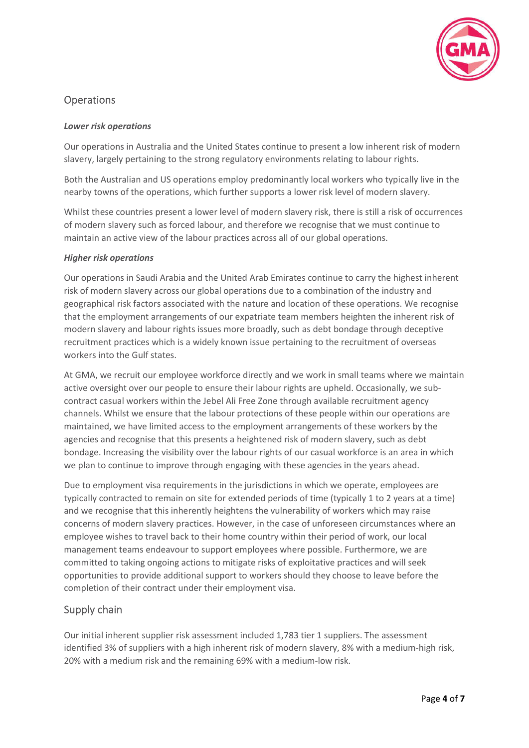

## **Operations**

#### *Lower risk operations*

Our operations in Australia and the United States continue to present a low inherent risk of modern slavery, largely pertaining to the strong regulatory environments relating to labour rights.

Both the Australian and US operations employ predominantly local workers who typically live in the nearby towns of the operations, which further supports a lower risk level of modern slavery.

Whilst these countries present a lower level of modern slavery risk, there is still a risk of occurrences of modern slavery such as forced labour, and therefore we recognise that we must continue to maintain an active view of the labour practices across all of our global operations.

#### *Higher risk operations*

Our operations in Saudi Arabia and the United Arab Emirates continue to carry the highest inherent risk of modern slavery across our global operations due to a combination of the industry and geographical risk factors associated with the nature and location of these operations. We recognise that the employment arrangements of our expatriate team members heighten the inherent risk of modern slavery and labour rights issues more broadly, such as debt bondage through deceptive recruitment practices which is a widely known issue pertaining to the recruitment of overseas workers into the Gulf states.

At GMA, we recruit our employee workforce directly and we work in small teams where we maintain active oversight over our people to ensure their labour rights are upheld. Occasionally, we subcontract casual workers within the Jebel Ali Free Zone through available recruitment agency channels. Whilst we ensure that the labour protections of these people within our operations are maintained, we have limited access to the employment arrangements of these workers by the agencies and recognise that this presents a heightened risk of modern slavery, such as debt bondage. Increasing the visibility over the labour rights of our casual workforce is an area in which we plan to continue to improve through engaging with these agencies in the years ahead.

Due to employment visa requirements in the jurisdictions in which we operate, employees are typically contracted to remain on site for extended periods of time (typically 1 to 2 years at a time) and we recognise that this inherently heightens the vulnerability of workers which may raise concerns of modern slavery practices. However, in the case of unforeseen circumstances where an employee wishes to travel back to their home country within their period of work, our local management teams endeavour to support employees where possible. Furthermore, we are committed to taking ongoing actions to mitigate risks of exploitative practices and will seek opportunities to provide additional support to workers should they choose to leave before the completion of their contract under their employment visa.

## Supply chain

Our initial inherent supplier risk assessment included 1,783 tier 1 suppliers. The assessment identified 3% of suppliers with a high inherent risk of modern slavery, 8% with a medium-high risk, 20% with a medium risk and the remaining 69% with a medium-low risk.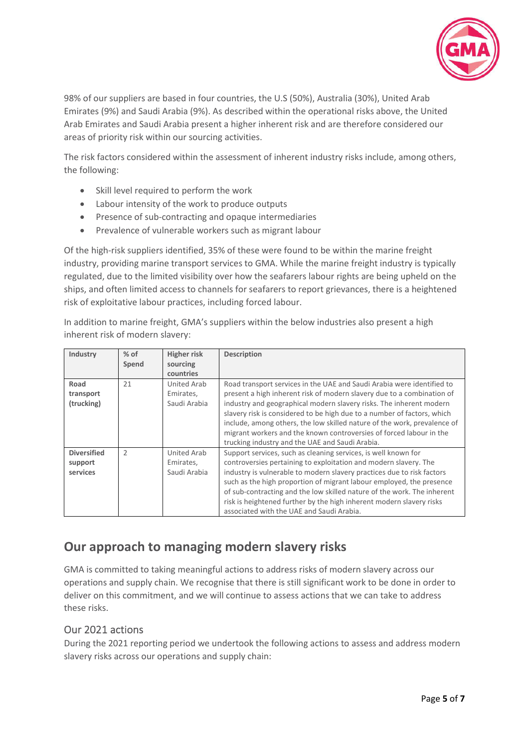

98% of our suppliers are based in four countries, the U.S (50%), Australia (30%), United Arab Emirates (9%) and Saudi Arabia (9%). As described within the operational risks above, the United Arab Emirates and Saudi Arabia present a higher inherent risk and are therefore considered our areas of priority risk within our sourcing activities.

The risk factors considered within the assessment of inherent industry risks include, among others, the following:

- Skill level required to perform the work
- Labour intensity of the work to produce outputs
- Presence of sub-contracting and opaque intermediaries
- Prevalence of vulnerable workers such as migrant labour

Of the high-risk suppliers identified, 35% of these were found to be within the marine freight industry, providing marine transport services to GMA. While the marine freight industry is typically regulated, due to the limited visibility over how the seafarers labour rights are being upheld on the ships, and often limited access to channels for seafarers to report grievances, there is a heightened risk of exploitative labour practices, including forced labour.

In addition to marine freight, GMA's suppliers within the below industries also present a high inherent risk of modern slavery:

| Industry                                  | $%$ of<br>Spend | <b>Higher risk</b><br>sourcing<br>countries | <b>Description</b>                                                                                                                                                                                                                                                                                                                                                                                                                                                                                       |
|-------------------------------------------|-----------------|---------------------------------------------|----------------------------------------------------------------------------------------------------------------------------------------------------------------------------------------------------------------------------------------------------------------------------------------------------------------------------------------------------------------------------------------------------------------------------------------------------------------------------------------------------------|
| Road<br>transport<br>(trucking)           | 21              | United Arab<br>Emirates,<br>Saudi Arabia    | Road transport services in the UAE and Saudi Arabia were identified to<br>present a high inherent risk of modern slavery due to a combination of<br>industry and geographical modern slavery risks. The inherent modern<br>slavery risk is considered to be high due to a number of factors, which<br>include, among others, the low skilled nature of the work, prevalence of<br>migrant workers and the known controversies of forced labour in the<br>trucking industry and the UAE and Saudi Arabia. |
| <b>Diversified</b><br>support<br>services | $\overline{2}$  | United Arab<br>Emirates,<br>Saudi Arabia    | Support services, such as cleaning services, is well known for<br>controversies pertaining to exploitation and modern slavery. The<br>industry is vulnerable to modern slavery practices due to risk factors<br>such as the high proportion of migrant labour employed, the presence<br>of sub-contracting and the low skilled nature of the work. The inherent<br>risk is heightened further by the high inherent modern slavery risks<br>associated with the UAE and Saudi Arabia.                     |

# **Our approach to managing modern slavery risks**

GMA is committed to taking meaningful actions to address risks of modern slavery across our operations and supply chain. We recognise that there is still significant work to be done in order to deliver on this commitment, and we will continue to assess actions that we can take to address these risks.

## Our 2021 actions

During the 2021 reporting period we undertook the following actions to assess and address modern slavery risks across our operations and supply chain: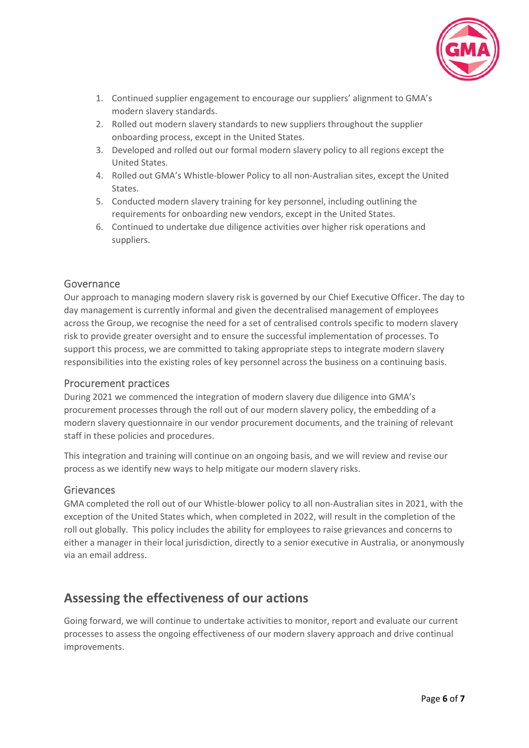

- 1. Continued supplier engagement to encourage our suppliers' alignment to GMA's modern slavery standards.
- 2. Rolled out modern slavery standards to new suppliers throughout the supplier onboarding process, except in the United States.
- 3. Developed and rolled out our formal modern slavery policy to all regions except the United States.
- 4. Rolled out GMA's Whistle-blower Policy to all non-Australian sites, except the United States.
- 5. Conducted modern slavery training for key personnel, including outlining the requirements for onboarding new vendors, except in the United States.
- 6. Continued to undertake due diligence activities over higher risk operations and suppliers.

## Governance

Our approach to managing modern slavery risk is governed by our Chief Executive Officer. The day to day management is currently informal and given the decentralised management of employees across the Group, we recognise the need for a set of centralised controls specific to modern slavery risk to provide greater oversight and to ensure the successful implementation of processes. To support this process, we are committed to taking appropriate steps to integrate modern slavery responsibilities into the existing roles of key personnel across the business on a continuing basis.

#### Procurement practices

During 2021 we commenced the integration of modern slavery due diligence into GMA's procurement processes through the roll out of our modern slavery policy, the embedding of a modern slavery questionnaire in our vendor procurement documents, and the training of relevant staff in these policies and procedures.

This integration and training will continue on an ongoing basis, and we will review and revise our process as we identify new ways to help mitigate our modern slavery risks.

#### **Grievances**

GMA completed the roll out of our Whistle-blower policy to all non-Australian sites in 2021, with the exception of the United States which, when completed in 2022, will result in the completion of the roll out globally. This policy includes the ability for employees to raise grievances and concerns to either a manager in their local jurisdiction, directly to a senior executive in Australia, or anonymously via an email address.

# **Assessing the effectiveness of our actions**

Going forward, we will continue to undertake activities to monitor, report and evaluate our current processes to assess the ongoing effectiveness of our modern slavery approach and drive continual improvements.